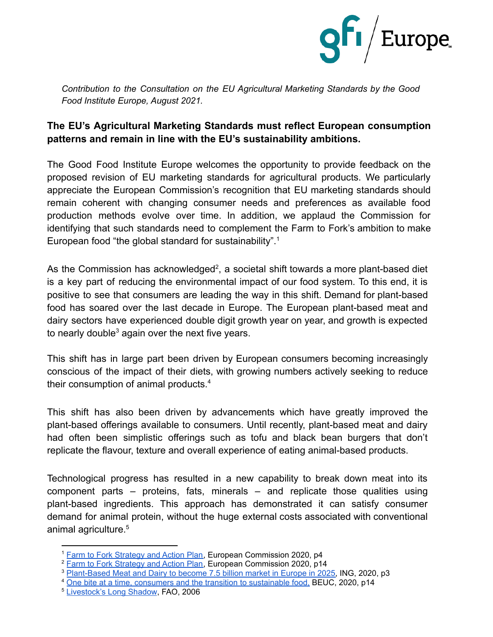

*Contribution to the Consultation on the EU Agricultural Marketing Standards by the Good Food Institute Europe, August 2021.*

## **The EU's Agricultural Marketing Standards must reflect European consumption patterns and remain in line with the EU's sustainability ambitions.**

The Good Food Institute Europe welcomes the opportunity to provide feedback on the proposed revision of EU marketing standards for agricultural products. We particularly appreciate the European Commission's recognition that EU marketing standards should remain coherent with changing consumer needs and preferences as available food production methods evolve over time. In addition, we applaud the Commission for identifying that such standards need to complement the Farm to Fork's ambition to make European food "the global standard for sustainability".<sup>1</sup>

As the Commission has acknowledged<sup>2</sup>, a societal shift towards a more plant-based diet is a key part of reducing the environmental impact of our food system. To this end, it is positive to see that consumers are leading the way in this shift. Demand for plant-based food has soared over the last decade in Europe. The European plant-based meat and dairy sectors have experienced double digit growth year on year, and growth is expected to nearly double<sup>3</sup> again over the next five years.

This shift has in large part been driven by European consumers becoming increasingly conscious of the impact of their diets, with growing numbers actively seeking to reduce their consumption of animal products.<sup>4</sup>

This shift has also been driven by advancements which have greatly improved the plant-based offerings available to consumers. Until recently, plant-based meat and dairy had often been simplistic offerings such as tofu and black bean burgers that don't replicate the flavour, texture and overall experience of eating animal-based products.

Technological progress has resulted in a new capability to break down meat into its component parts – proteins, fats, minerals – and replicate those qualities using plant-based ingredients. This approach has demonstrated it can satisfy consumer demand for animal protein, without the huge external costs associated with conventional animal agriculture.<sup>5</sup>

<sup>1</sup> Farm to Fork [Strategy](https://ec.europa.eu/food/sites/food/files/safety/docs/f2f_action-plan_2020_strategy-info_en.pdf) and Action Plan, European Commission 2020, p4

<sup>&</sup>lt;sup>2</sup> Farm to Fork [Strategy](https://ec.europa.eu/food/sites/food/files/safety/docs/f2f_action-plan_2020_strategy-info_en.pdf) and Action Plan, European Commission 2020, p14

<sup>3</sup> [Plant-Based](https://think.ing.com/reports/growth-of-meat-and-dairy-alternatives-is-stirring-up-the-european-food-industry/) Meat and Dairy to become 7.5 billion market in Europe in 2025, ING, 2020, p3

<sup>4</sup> One bite at a time, consumers and the transition to [sustainable](https://www.beuc.eu/publications/beuc-x-2020-042_consumers_and_the_transition_to_sustainable_food.pdf#page=14) food, BEUC, 2020, p14

<sup>5</sup> [Livestock's](http://www.fao.org/3/a0701e/a0701e00.htm) Long Shadow, FAO, 2006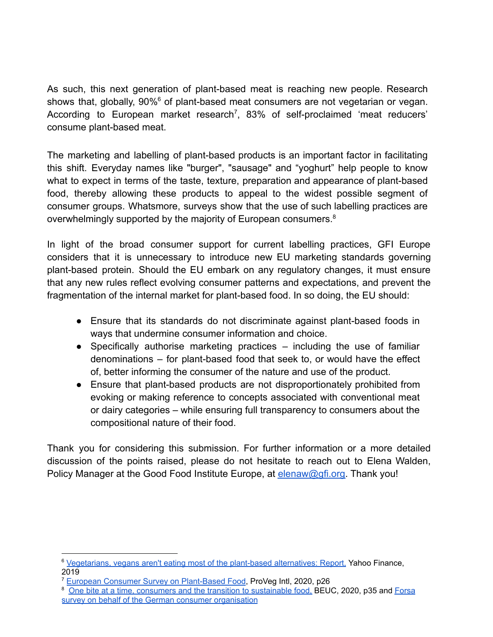As such, this next generation of plant-based meat is reaching new people. Research shows that, globally, 90%<sup>6</sup> of plant-based meat consumers are not vegetarian or vegan. According to European market research<sup>7</sup>, 83% of self-proclaimed 'meat reducers' consume plant-based meat.

The marketing and labelling of plant-based products is an important factor in facilitating this shift. Everyday names like "burger", "sausage" and "yoghurt" help people to know what to expect in terms of the taste, texture, preparation and appearance of plant-based food, thereby allowing these products to appeal to the widest possible segment of consumer groups. Whatsmore, surveys show that the use of such labelling practices are overwhelmingly supported by the majority of European consumers.<sup>8</sup>

In light of the broad consumer support for current labelling practices, GFI Europe considers that it is unnecessary to introduce new EU marketing standards governing plant-based protein. Should the EU embark on any regulatory changes, it must ensure that any new rules reflect evolving consumer patterns and expectations, and prevent the fragmentation of the internal market for plant-based food. In so doing, the EU should:

- Ensure that its standards do not discriminate against plant-based foods in ways that undermine consumer information and choice.
- $\bullet$  Specifically authorise marketing practices  $-$  including the use of familiar denominations – for plant-based food that seek to, or would have the effect of, better informing the consumer of the nature and use of the product.
- Ensure that plant-based products are not disproportionately prohibited from evoking or making reference to concepts associated with conventional meat or dairy categories – while ensuring full transparency to consumers about the compositional nature of their food.

Thank you for considering this submission. For further information or a more detailed discussion of the points raised, please do not hesitate to reach out to Elena Walden, Policy Manager at the Good Food Institute Europe, at elenaw@gfi.org. Thank you!

<sup>6</sup> [Vegetarians,](https://finance.yahoo.com/news/vegetarians-vegans-aren-apos-t-210549336.html) vegans aren't eating most of the plant-based alternatives: Report, Yahoo Finance, 2019

<sup>&</sup>lt;sup>7</sup> European Consumer Survey on [Plant-Based](https://prowly-uploads.s3.eu-west-1.amazonaws.com/uploads/landing_page_image/image/265983/7215af9e9e6ba9b1279d555f919bb57a.pdf#page=26) Food, ProVeg Intl, 2020, p26

<sup>&</sup>lt;sup>8</sup> One bite at a time, consumers and the transition to [sustainable](https://www.beuc.eu/publications/beuc-x-2020-042_consumers_and_the_transition_to_sustainable_food.pdf#page=14) food. BEUC, 2020, p35 and [Forsa](https://www.vzbv.de/sites/default/files/downloads/2017/02/15/meinungen_zur_kennzeichnung_von_lebensmitteln_080615.pdf) survey on behalf of the German consumer [organisation](https://www.vzbv.de/sites/default/files/downloads/2017/02/15/meinungen_zur_kennzeichnung_von_lebensmitteln_080615.pdf)